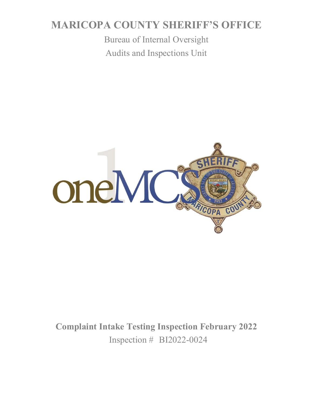# **MARICOPA COUNTY SHERIFF'S OFFICE**

Bureau of Internal Oversight Audits and Inspections Unit



**Complaint Intake Testing Inspection February 2022** Inspection # BI2022-0024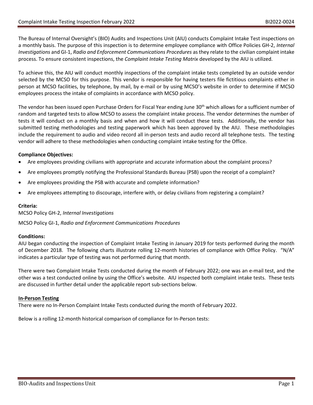The Bureau of Internal Oversight's (BIO) Audits and Inspections Unit (AIU) conducts Complaint Intake Test inspections on a monthly basis. The purpose of this inspection is to determine employee compliance with Office Policies GH-2, *Internal Investigations* and GI-1, *Radio and Enforcement Communications Procedures* as they relate to the civilian complaint intake process. To ensure consistent inspections, the *Complaint Intake Testing Matrix* developed by the AIU is utilized.

To achieve this, the AIU will conduct monthly inspections of the complaint intake tests completed by an outside vendor selected by the MCSO for this purpose. This vendor is responsible for having testers file fictitious complaints either in person at MCSO facilities, by telephone, by mail, by e-mail or by using MCSO's website in order to determine if MCSO employees process the intake of complaints in accordance with MCSO policy.

The vendor has been issued open Purchase Orders for Fiscal Year ending June 30<sup>th</sup> which allows for a sufficient number of random and targeted tests to allow MCSO to assess the complaint intake process. The vendor determines the number of tests it will conduct on a monthly basis and when and how it will conduct these tests. Additionally, the vendor has submitted testing methodologies and testing paperwork which has been approved by the AIU. These methodologies include the requirement to audio and video record all in-person tests and audio record all telephone tests. The testing vendor will adhere to these methodologies when conducting complaint intake testing for the Office.

### **Compliance Objectives:**

- Are employees providing civilians with appropriate and accurate information about the complaint process?
- Are employees promptly notifying the Professional Standards Bureau (PSB) upon the receipt of a complaint?
- Are employees providing the PSB with accurate and complete information?
- Are employees attempting to discourage, interfere with, or delay civilians from registering a complaint?

### **Criteria:**

MCSO Policy GH-2, *Internal Investigations*

MCSO Policy GI-1, *Radio and Enforcement Communications Procedures*

### **Conditions:**

AIU began conducting the inspection of Complaint Intake Testing in January 2019 for tests performed during the month of December 2018. The following charts illustrate rolling 12-month histories of compliance with Office Policy. "N/A" indicates a particular type of testing was not performed during that month.

There were two Complaint Intake Tests conducted during the month of February 2022; one was an e-mail test, and the other was a test conducted online by using the Office's website. AIU inspected both complaint intake tests. These tests are discussed in further detail under the applicable report sub-sections below.

### **In-Person Testing**

There were no In-Person Complaint Intake Tests conducted during the month of February 2022.

Below is a rolling 12-month historical comparison of compliance for In-Person tests: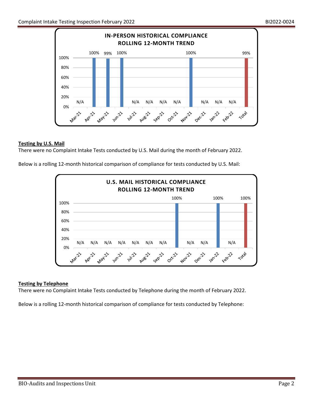

# **Testing by U.S. Mail**

There were no Complaint Intake Tests conducted by U.S. Mail during the month of February 2022.

Below is a rolling 12-month historical comparison of compliance for tests conducted by U.S. Mail:



### **Testing by Telephone**

There were no Complaint Intake Tests conducted by Telephone during the month of February 2022.

Below is a rolling 12-month historical comparison of compliance for tests conducted by Telephone: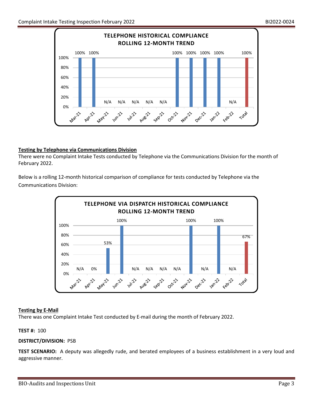

### **Testing by Telephone via Communications Division**

There were no Complaint Intake Tests conducted by Telephone via the Communications Division for the month of February 2022.

Below is a rolling 12-month historical comparison of compliance for tests conducted by Telephone via the Communications Division:



### **Testing by E-Mail**

There was one Complaint Intake Test conducted by E-mail during the month of February 2022.

### **TEST #:** 100

### **DISTRICT/DIVISION:** PSB

**TEST SCENARIO:** A deputy was allegedly rude, and berated employees of a business establishment in a very loud and aggressive manner.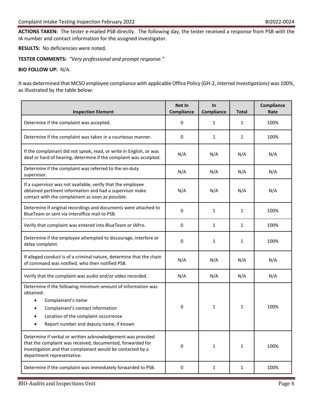**ACTIONS TAKEN:** The tester e-mailed PSB directly. The following day, the tester received a response from PSB with the IA number and contact information for the assigned investigator.

**RESULTS:** No deficiencies were noted.

**TESTER COMMENTS:** *"Very professional and prompt response."*

#### **BIO FOLLOW UP:** N/A.

It was determined that MCSO employee compliance with applicable Office Policy (GH-2, *Internal Investigations*) was 100%, as illustrated by the table below:

| <b>Inspection Element</b>                                                                                                                                                                                                            | Not In<br>Compliance | In<br>Compliance | <b>Total</b> | Compliance<br>Rate |
|--------------------------------------------------------------------------------------------------------------------------------------------------------------------------------------------------------------------------------------|----------------------|------------------|--------------|--------------------|
| Determine if the complaint was accepted.                                                                                                                                                                                             | 0                    | 1                | 1            | 100%               |
| Determine if the complaint was taken in a courteous manner.                                                                                                                                                                          | 0                    | $\mathbf{1}$     | $\mathbf{1}$ | 100%               |
| If the complainant did not speak, read, or write in English, or was<br>deaf or hard of hearing, determine if the complaint was accepted.                                                                                             | N/A                  | N/A              | N/A          | N/A                |
| Determine if the complaint was referred to the on-duty<br>supervisor.                                                                                                                                                                | N/A                  | N/A              | N/A          | N/A                |
| If a supervisor was not available, verify that the employee<br>obtained pertinent information and had a supervisor make<br>contact with the complainant as soon as possible.                                                         | N/A                  | N/A              | N/A          | N/A                |
| Determine if original recordings and documents were attached to<br>BlueTeam or sent via interoffice mail to PSB.                                                                                                                     | $\mathbf 0$          | $\mathbf{1}$     | 1            | 100%               |
| Verify that complaint was entered into BlueTeam or IAPro.                                                                                                                                                                            | 0                    | 1                | $\mathbf{1}$ | 100%               |
| Determine if the employee attempted to discourage, interfere or<br>delay complaint.                                                                                                                                                  | 0                    | 1                | $\mathbf{1}$ | 100%               |
| If alleged conduct is of a criminal nature, determine that the chain<br>of command was notified, who then notified PSB.                                                                                                              | N/A                  | N/A              | N/A          | N/A                |
| Verify that the complaint was audio and/or video recorded.                                                                                                                                                                           | N/A                  | N/A              | N/A          | N/A                |
| Determine if the following minimum amount of information was<br>obtained:<br>Complainant's name<br>Complainant's contact information<br>$\bullet$<br>Location of the complaint occurrence<br>Report number and deputy name, if known | 0                    | 1                | 1            | 100%               |
| Determine if verbal or written acknowledgement was provided<br>that the complaint was received, documented, forwarded for<br>investigation and that complainant would be contacted by a<br>department representative.                | 0                    | 1                | $\mathbf{1}$ | 100%               |
| Determine if the complaint was immediately forwarded to PSB.                                                                                                                                                                         | $\mathbf 0$          | 1                | $\mathbf{1}$ | 100%               |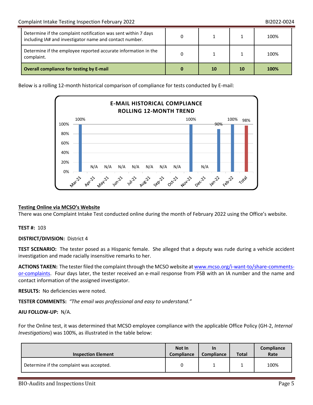| Determine if the complaint notification was sent within 7 days<br>including IA# and investigator name and contact number. |    |    | 100% |
|---------------------------------------------------------------------------------------------------------------------------|----|----|------|
| Determine if the employee reported accurate information in the<br>complaint.                                              |    |    | 100% |
| <b>Overall compliance for testing by E-mail</b>                                                                           | 10 | 10 | 100% |

Below is a rolling 12-month historical comparison of compliance for tests conducted by E-mail:



### **Testing Online via MCSO's Website**

There was one Complaint Intake Test conducted online during the month of February 2022 using the Office's website.

#### **TEST #:** 103

**DISTRICT/DIVISION:** District 4

**TEST SCENARIO:** The tester posed as a Hispanic female. She alleged that a deputy was rude during a vehicle accident investigation and made racially insensitive remarks to her.

ACTIONS TAKEN: The tester filed the complaint through the MCSO website a[t www.mcso.org/i-want-to/share-comments](http://www.mcso.org/i-want-to/share-comments-or-complaints)[or-complaints.](http://www.mcso.org/i-want-to/share-comments-or-complaints) Four days later, the tester received an e-mail response from PSB with an IA number and the name and contact information of the assigned investigator.

**RESULTS:** No deficiencies were noted.

**TESTER COMMENTS:** *"The email was professional and easy to understand."*

### **AIU FOLLOW-UP:** N/A.

For the Online test, it was determined that MCSO employee compliance with the applicable Office Policy (GH-2, *Internal Investigations*) was 100%, as illustrated in the table below:

| <b>Inspection Element</b>                | Not In<br><b>Compliance</b> | <b>In</b><br><b>Compliance</b> | <b>Total</b> | <b>Compliance</b><br>Rate |
|------------------------------------------|-----------------------------|--------------------------------|--------------|---------------------------|
| Determine if the complaint was accepted. |                             |                                |              | 100%                      |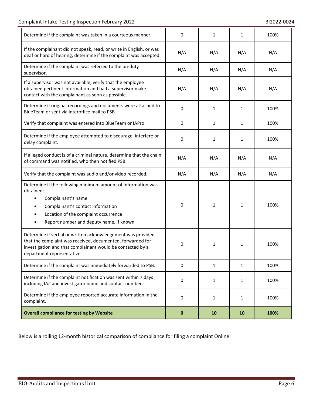| Determine if the complaint was taken in a courteous manner.                                                                                                                                                                                       | 0        | 1            | 1            | 100% |
|---------------------------------------------------------------------------------------------------------------------------------------------------------------------------------------------------------------------------------------------------|----------|--------------|--------------|------|
| If the complainant did not speak, read, or write in English, or was<br>deaf or hard of hearing, determine if the complaint was accepted.                                                                                                          | N/A      | N/A          | N/A          | N/A  |
| Determine if the complaint was referred to the on-duty<br>supervisor.                                                                                                                                                                             | N/A      | N/A          | N/A          | N/A  |
| If a supervisor was not available, verify that the employee<br>obtained pertinent information and had a supervisor make<br>contact with the complainant as soon as possible.                                                                      | N/A      | N/A          | N/A          | N/A  |
| Determine if original recordings and documents were attached to<br>BlueTeam or sent via interoffice mail to PSB.                                                                                                                                  | 0        | 1            | 1            | 100% |
| Verify that complaint was entered into BlueTeam or IAPro.                                                                                                                                                                                         | 0        | $\mathbf{1}$ | $\mathbf{1}$ | 100% |
| Determine if the employee attempted to discourage, interfere or<br>delay complaint.                                                                                                                                                               | 0        | 1            | $\mathbf{1}$ | 100% |
| If alleged conduct is of a criminal nature, determine that the chain<br>of command was notified, who then notified PSB.                                                                                                                           | N/A      | N/A          | N/A          | N/A  |
| Verify that the complaint was audio and/or video recorded.                                                                                                                                                                                        | N/A      | N/A          | N/A          | N/A  |
| Determine if the following minimum amount of information was<br>obtained:<br>Complainant's name<br>$\bullet$<br>Complainant's contact information<br>Location of the complaint occurrence<br>$\bullet$<br>Report number and deputy name, if known | 0        | 1            | 1            | 100% |
| Determine if verbal or written acknowledgement was provided<br>that the complaint was received, documented, forwarded for<br>investigation and that complainant would be contacted by a<br>department representative.                             | 0        | 1            | 1            | 100% |
| Determine if the complaint was immediately forwarded to PSB.                                                                                                                                                                                      | 0        | 1            | $\mathbf{1}$ | 100% |
| Determine if the complaint notification was sent within 7 days<br>including IA# and investigator name and contact number.                                                                                                                         | 0        | $\mathbf{1}$ | $\mathbf{1}$ | 100% |
| Determine if the employee reported accurate information in the<br>complaint.                                                                                                                                                                      | 0        | 1            | $\mathbf{1}$ | 100% |
| <b>Overall compliance for testing by Website</b>                                                                                                                                                                                                  | $\bf{0}$ | 10           | 10           | 100% |

Below is a rolling 12-month historical comparison of compliance for filing a complaint Online: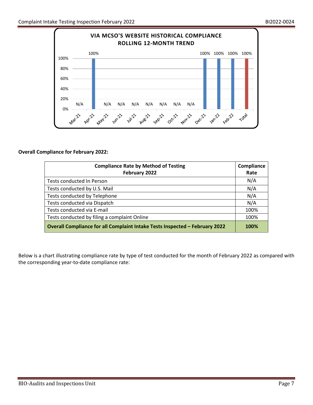

# **Overall Compliance for February 2022:**

| <b>Compliance Rate by Method of Testing</b><br>February 2022                | Compliance<br>Rate |
|-----------------------------------------------------------------------------|--------------------|
| Tests conducted In Person                                                   | N/A                |
| Tests conducted by U.S. Mail                                                | N/A                |
| Tests conducted by Telephone                                                | N/A                |
| Tests conducted via Dispatch                                                | N/A                |
| Tests conducted via E-mail                                                  | 100%               |
| Tests conducted by filing a complaint Online                                | 100%               |
| Overall Compliance for all Complaint Intake Tests Inspected - February 2022 | 100%               |

Below is a chart illustrating compliance rate by type of test conducted for the month of February 2022 as compared with the corresponding year-to-date compliance rate: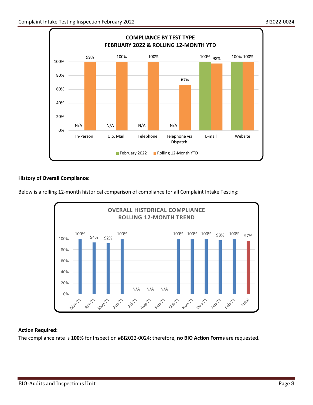

# **History of Overall Compliance:**

Below is a rolling 12-month historical comparison of compliance for all Complaint Intake Testing:



### **Action Required:**

The compliance rate is **100%** for Inspection #BI2022-0024; therefore, **no BIO Action Forms** are requested.